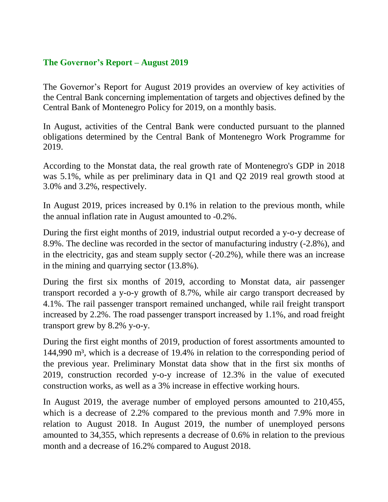## **The Governor's Report – August 2019**

The Governor's Report for August 2019 provides an overview of key activities of the Central Bank concerning implementation of targets and objectives defined by the Central Bank of Montenegro Policy for 2019, on a monthly basis.

In August, activities of the Central Bank were conducted pursuant to the planned obligations determined by the Central Bank of Montenegro Work Programme for 2019.

According to the Monstat data, the real growth rate of Montenegro's GDP in 2018 was 5.1%, while as per preliminary data in Q1 and Q2 2019 real growth stood at 3.0% and 3.2%, respectively.

In August 2019, prices increased by 0.1% in relation to the previous month, while the annual inflation rate in August amounted to -0.2%.

During the first eight months of 2019, industrial output recorded a y-o-y decrease of 8.9%. The decline was recorded in the sector of manufacturing industry (-2.8%), and in the electricity, gas and steam supply sector (-20.2%), while there was an increase in the mining and quarrying sector (13.8%).

During the first six months of 2019, according to Monstat data, air passenger transport recorded a y-o-y growth of 8.7%, while air cargo transport decreased by 4.1%. The rail passenger transport remained unchanged, while rail freight transport increased by 2.2%. The road passenger transport increased by 1.1%, and road freight transport grew by 8.2% y-o-y.

During the first eight months of 2019, production of forest assortments amounted to 144,990 m³, which is a decrease of 19.4% in relation to the corresponding period of the previous year. Preliminary Monstat data show that in the first six months of 2019, construction recorded y-o-y increase of 12.3% in the value of executed construction works, as well as a 3% increase in effective working hours.

In August 2019, the average number of employed persons amounted to 210,455, which is a decrease of 2.2% compared to the previous month and 7.9% more in relation to August 2018. In August 2019, the number of unemployed persons amounted to 34,355, which represents a decrease of 0.6% in relation to the previous month and a decrease of 16.2% compared to August 2018.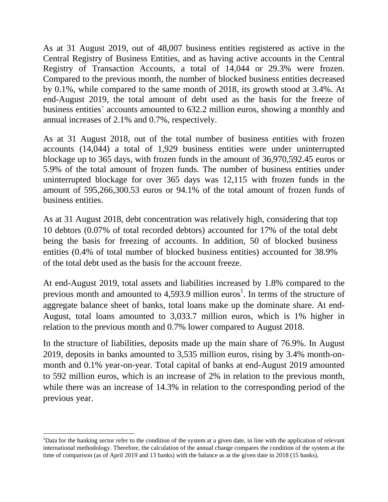As at 31 August 2019, out of 48,007 business entities registered as active in the Central Registry of Business Entities, and as having active accounts in the Central Registry of Transaction Accounts, a total of 14,044 or 29.3% were frozen. Compared to the previous month, the number of blocked business entities decreased by 0.1%, while compared to the same month of 2018, its growth stood at 3.4%. At end-August 2019, the total amount of debt used as the basis for the freeze of business entities` accounts amounted to 632.2 million euros, showing a monthly and annual increases of 2.1% and 0.7%, respectively.

As at 31 August 2018, out of the total number of business entities with frozen accounts (14,044) a total of 1,929 business entities were under uninterrupted blockage up to 365 days, with frozen funds in the amount of 36,970,592.45 euros or 5.9% of the total amount of frozen funds. The number of business entities under uninterrupted blockage for over 365 days was 12,115 with frozen funds in the amount of 595,266,300.53 euros or 94.1% of the total amount of frozen funds of business entities.

As at 31 August 2018, debt concentration was relatively high, considering that top 10 debtors (0.07% of total recorded debtors) accounted for 17% of the total debt being the basis for freezing of accounts. In addition, 50 of blocked business entities (0.4% of total number of blocked business entities) accounted for 38.9% of the total debt used as the basis for the account freeze.

At end-August 2019, total assets and liabilities increased by 1.8% compared to the previous month and amounted to 4,593.9 million euros<sup>1</sup>. In terms of the structure of aggregate balance sheet of banks, total loans make up the dominate share. At end-August, total loans amounted to 3,033.7 million euros, which is 1% higher in relation to the previous month and 0.7% lower compared to August 2018.

In the structure of liabilities, deposits made up the main share of 76.9%. In August 2019, deposits in banks amounted to 3,535 million euros, rising by 3.4% month-onmonth and 0.1% year-on-year. Total capital of banks at end-August 2019 amounted to 592 million euros, which is an increase of 2% in relation to the previous month, while there was an increase of 14.3% in relation to the corresponding period of the previous year.

 $\ddot{\phantom{a}}$ 

<sup>&</sup>lt;sup>1</sup>Data for the banking sector refer to the condition of the system at a given date, in line with the application of relevant international methodology. Therefore, the calculation of the annual change compares the condition of the system at the time of comparison (as of April 2019 and 13 banks) with the balance as at the given date in 2018 (15 banks).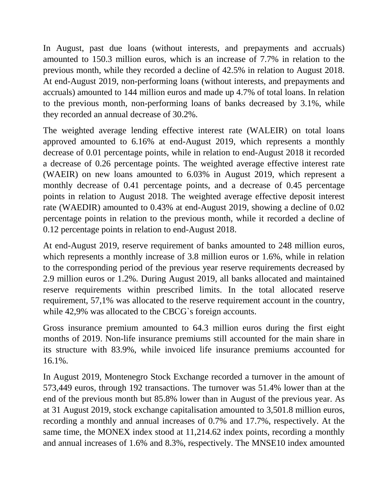In August, past due loans (without interests, and prepayments and accruals) amounted to 150.3 million euros, which is an increase of 7.7% in relation to the previous month, while they recorded a decline of 42.5% in relation to August 2018. At end-August 2019, non-performing loans (without interests, and prepayments and accruals) amounted to 144 million euros and made up 4.7% of total loans. In relation to the previous month, non-performing loans of banks decreased by 3.1%, while they recorded an annual decrease of 30.2%.

The weighted average lending effective interest rate (WALEIR) on total loans approved amounted to 6.16% at end-August 2019, which represents a monthly decrease of 0.01 percentage points, while in relation to end-August 2018 it recorded a decrease of 0.26 percentage points. The weighted average effective interest rate (WAEIR) on new loans amounted to 6.03% in August 2019, which represent a monthly decrease of 0.41 percentage points, and a decrease of 0.45 percentage points in relation to August 2018. The weighted average effective deposit interest rate (WAEDIR) amounted to 0.43% at end-August 2019, showing a decline of 0.02 percentage points in relation to the previous month, while it recorded a decline of 0.12 percentage points in relation to end-August 2018.

At end-August 2019, reserve requirement of banks amounted to 248 million euros, which represents a monthly increase of 3.8 million euros or 1.6%, while in relation to the corresponding period of the previous year reserve requirements decreased by 2.9 million euros or 1.2%. During August 2019, all banks allocated and maintained reserve requirements within prescribed limits. In the total allocated reserve requirement, 57,1% was allocated to the reserve requirement account in the country, while 42,9% was allocated to the CBCG`s foreign accounts.

Gross insurance premium amounted to 64.3 million euros during the first eight months of 2019. Non-life insurance premiums still accounted for the main share in its structure with 83.9%, while invoiced life insurance premiums accounted for 16.1%.

In August 2019, Montenegro Stock Exchange recorded a turnover in the amount of 573,449 euros, through 192 transactions. The turnover was 51.4% lower than at the end of the previous month but 85.8% lower than in August of the previous year. As at 31 August 2019, stock exchange capitalisation amounted to 3,501.8 million euros, recording a monthly and annual increases of 0.7% and 17.7%, respectively. At the same time, the MONEX index stood at 11,214.62 index points, recording a monthly and annual increases of 1.6% and 8.3%, respectively. The MNSE10 index amounted